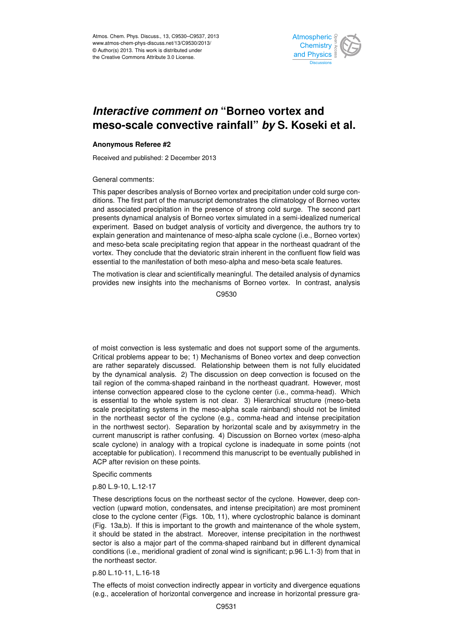

#### merasing comment on Domoc reflex and<br>meso-scale convective rainfall" *by* S. Koseki et al. م<br>م .<br>و *Interactive comment on* "Borneo vortex and

## **Anonymous Referee #2**

Received and published: 2 December 2013

General comments:

This paper describes analysis of Borneo vortex and precipitation under cold surge con-V<br>C lr<br>.. ditions. The first part of the manuscript demonstrates the climatology of Borneo vortex i in the pres sis of portied v experiment. Based on budget analysis of vorticity and divergence, the authors try to explain generation and maintenance of meso-alpha scale cyclone (i.e., Borneo vortex) o<br>כלו<br>מר geoscientifications<br>Contractions presents dynamical analysis of Borneo vortex simulated in a semi-idealized numerical น<br>วr<br>ก and meso-beta scale precipitating region that appear in the northeast quadrant of the Georgium essential to the manifestation of both meso-alpha and meso-beta scale features.<br>. open<br>Open fi<br>e vortex. They conclude that the deviatoric strain inherent in the confluent flow field was and associated precipitation in the presence of strong cold surge. The second part

The motivation is clear and scientifically meaningful. The detailed analysis of dynamics provides new insights into the mechanisms of Borneo vortex. In contrast, analysis Earth System Open Access  $\overline{a}$ C9530

are rather separately discussed. Relationship between them is not fully elucidated اa<br>ما n<br>u<br>d by the dynamical analysis. 2) The discussion on deep convection is focused on the is essential to the whole system is not clear. 3) Hierarchical structure (meso-beta e<br>a ı.<br>e scale precipitating systems in the meso-alpha scale rainband) should not be limited of moist convection is less systematic and does not support some of the arguments. Critical problems appear to be; 1) Mechanisms of Boneo vortex and deep convection tail region of the comma-shaped rainband in the northeast quadrant. However, most intense convection appeared close to the cyclone center (i.e., comma-head). Which in the northeast sector of the cyclone (e.g., comma-head and intense precipitation in the northwest sector). Separation by horizontal scale and by axisymmetry in the current manuscript is rather confusing. 4) Discussion on Borneo vortex (meso-alpha scale cyclone) in analogy with a tropical cyclone is inadequate in some points (not acceptable for publication). I recommend this manuscript to be eventually published in ACP after revision on these points.

Specific comments

p.80 L.9-10, L.12-17

These descriptions focus on the northeast sector of the cyclone. However, deep convection (upward motion, condensates, and intense precipitation) are most prominent close to the cyclone center (Figs. 10b, 11), where cyclostrophic balance is dominant (Fig. 13a,b). If this is important to the growth and maintenance of the whole system, it should be stated in the abstract. Moreover, intense precipitation in the northwest sector is also a major part of the comma-shaped rainband but in different dynamical conditions (i.e., meridional gradient of zonal wind is significant; p.96 L.1-3) from that in the northeast sector.

p.80 L.10-11, L.16-18

The effects of moist convection indirectly appear in vorticity and divergence equations (e.g., acceleration of horizontal convergence and increase in horizontal pressure gra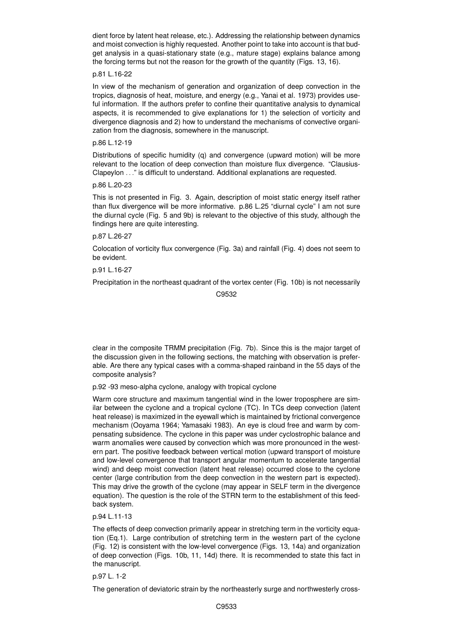dient force by latent heat release, etc.). Addressing the relationship between dynamics and moist convection is highly requested. Another point to take into account is that budget analysis in a quasi-stationary state (e.g., mature stage) explains balance among the forcing terms but not the reason for the growth of the quantity (Figs. 13, 16).

## p.81 L.16-22

In view of the mechanism of generation and organization of deep convection in the tropics, diagnosis of heat, moisture, and energy (e.g., Yanai et al. 1973) provides useful information. If the authors prefer to confine their quantitative analysis to dynamical aspects, it is recommended to give explanations for 1) the selection of vorticity and divergence diagnosis and 2) how to understand the mechanisms of convective organization from the diagnosis, somewhere in the manuscript.

## p.86 L.12-19

Distributions of specific humidity (q) and convergence (upward motion) will be more relevant to the location of deep convection than moisture flux divergence. "Clausius-Clapeylon . . ." is difficult to understand. Additional explanations are requested.

## p.86 L.20-23

This is not presented in Fig. 3. Again, description of moist static energy itself rather than flux divergence will be more informative. p.86 L.25 "diurnal cycle" I am not sure the diurnal cycle (Fig. 5 and 9b) is relevant to the objective of this study, although the findings here are quite interesting.

## p.87 L.26-27

Colocation of vorticity flux convergence (Fig. 3a) and rainfall (Fig. 4) does not seem to be evident.

## p.91 L.16-27

Precipitation in the northeast quadrant of the vortex center (Fig. 10b) is not necessarily

C9532

clear in the composite TRMM precipitation (Fig. 7b). Since this is the major target of the discussion given in the following sections, the matching with observation is preferable. Are there any typical cases with a comma-shaped rainband in the 55 days of the composite analysis?

p.92 -93 meso-alpha cyclone, analogy with tropical cyclone

Warm core structure and maximum tangential wind in the lower troposphere are similar between the cyclone and a tropical cyclone (TC). In TCs deep convection (latent heat release) is maximized in the eyewall which is maintained by frictional convergence mechanism (Ooyama 1964; Yamasaki 1983). An eye is cloud free and warm by compensating subsidence. The cyclone in this paper was under cyclostrophic balance and warm anomalies were caused by convection which was more pronounced in the western part. The positive feedback between vertical motion (upward transport of moisture and low-level convergence that transport angular momentum to accelerate tangential wind) and deep moist convection (latent heat release) occurred close to the cyclone center (large contribution from the deep convection in the western part is expected). This may drive the growth of the cyclone (may appear in SELF term in the divergence equation). The question is the role of the STRN term to the establishment of this feedback system.

p.94 L.11-13

The effects of deep convection primarily appear in stretching term in the vorticity equation (Eq.1). Large contribution of stretching term in the western part of the cyclone (Fig. 12) is consistent with the low-level convergence (Figs. 13, 14a) and organization of deep convection (Figs. 10b, 11, 14d) there. It is recommended to state this fact in the manuscript.

## p.97 L. 1-2

The generation of deviatoric strain by the northeasterly surge and northwesterly cross-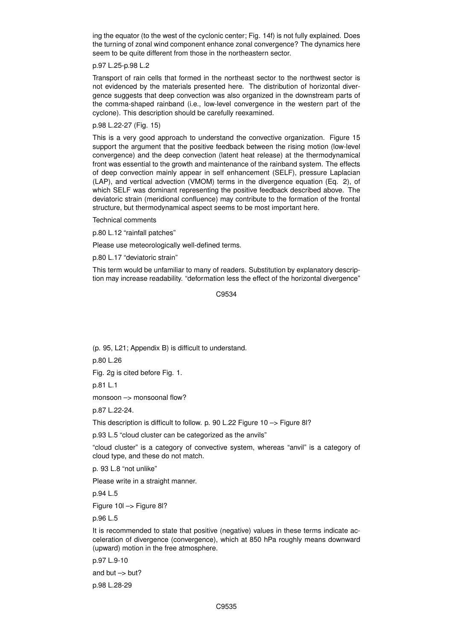ing the equator (to the west of the cyclonic center; Fig. 14f) is not fully explained. Does the turning of zonal wind component enhance zonal convergence? The dynamics here seem to be quite different from those in the northeastern sector.

## p.97 L.25-p.98 L.2

Transport of rain cells that formed in the northeast sector to the northwest sector is not evidenced by the materials presented here. The distribution of horizontal divergence suggests that deep convection was also organized in the downstream parts of the comma-shaped rainband (i.e., low-level convergence in the western part of the cyclone). This description should be carefully reexamined.

### p.98 L.22-27 (Fig. 15)

This is a very good approach to understand the convective organization. Figure 15 support the argument that the positive feedback between the rising motion (low-level convergence) and the deep convection (latent heat release) at the thermodynamical front was essential to the growth and maintenance of the rainband system. The effects of deep convection mainly appear in self enhancement (SELF), pressure Laplacian (LAP), and vertical advection (VMOM) terms in the divergence equation (Eq. 2), of which SELF was dominant representing the positive feedback described above. The deviatoric strain (meridional confluence) may contribute to the formation of the frontal structure, but thermodynamical aspect seems to be most important here.

#### Technical comments

p.80 L.12 "rainfall patches"

Please use meteorologically well-defined terms.

p.80 L.17 "deviatoric strain"

This term would be unfamiliar to many of readers. Substitution by explanatory description may increase readability. "deformation less the effect of the horizontal divergence"

C9534

(p. 95, L21; Appendix B) is difficult to understand.

p.80 L.26

Fig. 2g is cited before Fig. 1.

p.81 L.1

monsoon -> monsoonal flow?

p.87 L.22-24.

This description is difficult to follow. p. 90 L.22 Figure 10 –> Figure 8l?

p.93 L.5 "cloud cluster can be categorized as the anvils"

"cloud cluster" is a category of convective system, whereas "anvil" is a category of cloud type, and these do not match.

p. 93 L.8 "not unlike"

Please write in a straight manner.

p.94 L.5

Figure 10l –> Figure 8l?

p.96 L.5

It is recommended to state that positive (negative) values in these terms indicate acceleration of divergence (convergence), which at 850 hPa roughly means downward (upward) motion in the free atmosphere.

p.97 L.9-10

and but  $\rightarrow$  but?

p.98 L.28-29